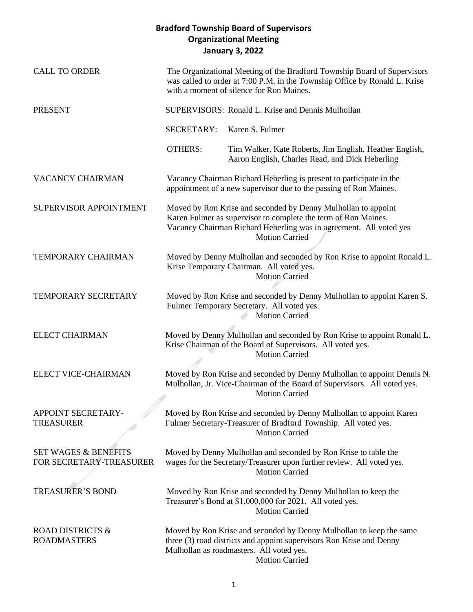| <b>CALL TO ORDER</b>                                       |                   | The Organizational Meeting of the Bradford Township Board of Supervisors<br>was called to order at 7:00 P.M. in the Township Office by Ronald L. Krise<br>with a moment of silence for Ron Maines.                             |
|------------------------------------------------------------|-------------------|--------------------------------------------------------------------------------------------------------------------------------------------------------------------------------------------------------------------------------|
| <b>PRESENT</b>                                             |                   | SUPERVISORS: Ronald L. Krise and Dennis Mulhollan                                                                                                                                                                              |
|                                                            | <b>SECRETARY:</b> | Karen S. Fulmer                                                                                                                                                                                                                |
|                                                            | <b>OTHERS:</b>    | Tim Walker, Kate Roberts, Jim English, Heather English,<br>Aaron English, Charles Read, and Dick Heberling                                                                                                                     |
| <b>VACANCY CHAIRMAN</b>                                    |                   | Vacancy Chairman Richard Heberling is present to participate in the<br>appointment of a new supervisor due to the passing of Ron Maines.                                                                                       |
| SUPERVISOR APPOINTMENT                                     |                   | Moved by Ron Krise and seconded by Denny Mulhollan to appoint<br>Karen Fulmer as supervisor to complete the term of Ron Maines.<br>Vacancy Chairman Richard Heberling was in agreement. All voted yes<br><b>Motion Carried</b> |
| TEMPORARY CHAIRMAN                                         |                   | Moved by Denny Mulhollan and seconded by Ron Krise to appoint Ronald L.<br>Krise Temporary Chairman. All voted yes.<br><b>Motion Carried</b>                                                                                   |
| TEMPORARY SECRETARY                                        |                   | Moved by Ron Krise and seconded by Denny Mulhollan to appoint Karen S.<br>Fulmer Temporary Secretary. All voted yes.<br><b>Motion Carried</b>                                                                                  |
| <b>ELECT CHAIRMAN</b>                                      |                   | Moved by Denny Mulhollan and seconded by Ron Krise to appoint Ronald L.<br>Krise Chairman of the Board of Supervisors. All voted yes.<br><b>Motion Carried</b>                                                                 |
| ELECT VICE-CHAIRMAN                                        |                   | Moved by Ron Krise and seconded by Denny Mulhollan to appoint Dennis N.<br>Mulhollan, Jr. Vice-Chairman of the Board of Supervisors. All voted yes.<br><b>Motion Carried</b>                                                   |
| APPOINT SECRETARY-<br><b>TREASURER</b>                     |                   | Moved by Ron Krise and seconded by Denny Mulhollan to appoint Karen<br>Fulmer Secretary-Treasurer of Bradford Township. All voted yes.<br><b>Motion Carried</b>                                                                |
| <b>SET WAGES &amp; BENEFITS</b><br>FOR SECRETARY-TREASURER |                   | Moved by Denny Mulhollan and seconded by Ron Krise to table the<br>wages for the Secretary/Treasurer upon further review. All voted yes.<br><b>Motion Carried</b>                                                              |
| <b>TREASURER'S BOND</b>                                    |                   | Moved by Ron Krise and seconded by Denny Mulhollan to keep the<br>Treasurer's Bond at \$1,000,000 for 2021. All voted yes.<br><b>Motion Carried</b>                                                                            |
| ROAD DISTRICTS &<br><b>ROADMASTERS</b>                     |                   | Moved by Ron Krise and seconded by Denny Mulhollan to keep the same<br>three (3) road districts and appoint supervisors Ron Krise and Denny<br>Mulhollan as roadmasters. All voted yes.<br><b>Motion Carried</b>               |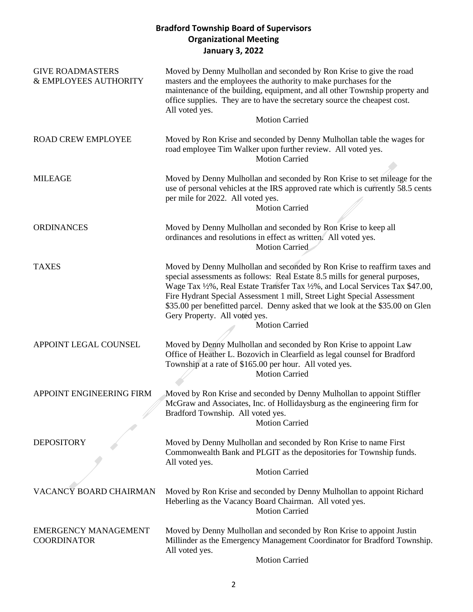| <b>GIVE ROADMASTERS</b><br>& EMPLOYEES AUTHORITY  | Moved by Denny Mulhollan and seconded by Ron Krise to give the road<br>masters and the employees the authority to make purchases for the<br>maintenance of the building, equipment, and all other Township property and<br>office supplies. They are to have the secretary source the cheapest cost.<br>All voted yes.<br><b>Motion Carried</b>                                                                                                                 |
|---------------------------------------------------|-----------------------------------------------------------------------------------------------------------------------------------------------------------------------------------------------------------------------------------------------------------------------------------------------------------------------------------------------------------------------------------------------------------------------------------------------------------------|
| <b>ROAD CREW EMPLOYEE</b>                         | Moved by Ron Krise and seconded by Denny Mulhollan table the wages for<br>road employee Tim Walker upon further review. All voted yes.<br><b>Motion Carried</b>                                                                                                                                                                                                                                                                                                 |
| <b>MILEAGE</b>                                    | Moved by Denny Mulhollan and seconded by Ron Krise to set mileage for the<br>use of personal vehicles at the IRS approved rate which is currently 58.5 cents<br>per mile for 2022. All voted yes.<br><b>Motion Carried</b>                                                                                                                                                                                                                                      |
| <b>ORDINANCES</b>                                 | Moved by Denny Mulhollan and seconded by Ron Krise to keep all<br>ordinances and resolutions in effect as written. All voted yes.<br><b>Motion Carried</b>                                                                                                                                                                                                                                                                                                      |
| <b>TAXES</b>                                      | Moved by Denny Mulhollan and seconded by Ron Krise to reaffirm taxes and<br>special assessments as follows: Real Estate 8.5 mills for general purposes,<br>Wage Tax 1/2%, Real Estate Transfer Tax 1/2%, and Local Services Tax \$47.00,<br>Fire Hydrant Special Assessment 1 mill, Street Light Special Assessment<br>\$35.00 per benefitted parcel. Denny asked that we look at the \$35.00 on Glen<br>Gery Property. All voted yes.<br><b>Motion Carried</b> |
| APPOINT LEGAL COUNSEL                             | Moved by Denny Mulhollan and seconded by Ron Krise to appoint Law<br>Office of Heather L. Bozovich in Clearfield as legal counsel for Bradford<br>Township at a rate of \$165.00 per hour. All voted yes.<br><b>Motion Carried</b>                                                                                                                                                                                                                              |
| APPOINT ENGINEERING FIRM                          | Moved by Ron Krise and seconded by Denny Mulhollan to appoint Stiffler<br>McGraw and Associates, Inc. of Hollidaysburg as the engineering firm for<br>Bradford Township. All voted yes.<br><b>Motion Carried</b>                                                                                                                                                                                                                                                |
| <b>DEPOSITORY</b>                                 | Moved by Denny Mulhollan and seconded by Ron Krise to name First<br>Commonwealth Bank and PLGIT as the depositories for Township funds.<br>All voted yes.<br><b>Motion Carried</b>                                                                                                                                                                                                                                                                              |
| VACANCY BOARD CHAIRMAN                            | Moved by Ron Krise and seconded by Denny Mulhollan to appoint Richard<br>Heberling as the Vacancy Board Chairman. All voted yes.<br><b>Motion Carried</b>                                                                                                                                                                                                                                                                                                       |
| <b>EMERGENCY MANAGEMENT</b><br><b>COORDINATOR</b> | Moved by Denny Mulhollan and seconded by Ron Krise to appoint Justin<br>Millinder as the Emergency Management Coordinator for Bradford Township.<br>All voted yes.                                                                                                                                                                                                                                                                                              |

Motion Carried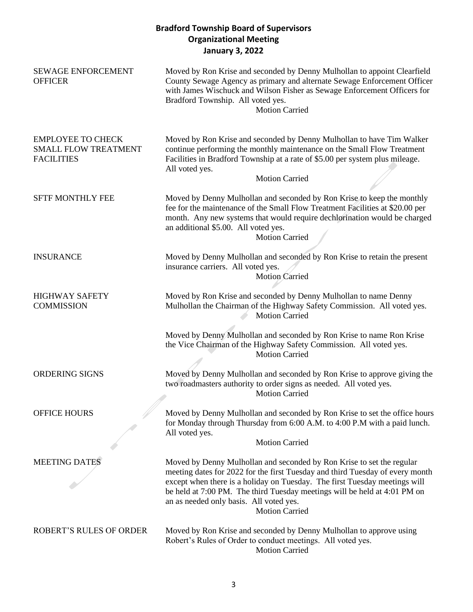| <b>SEWAGE ENFORCEMENT</b><br><b>OFFICER</b>                                  | Moved by Ron Krise and seconded by Denny Mulhollan to appoint Clearfield<br>County Sewage Agency as primary and alternate Sewage Enforcement Officer<br>with James Wischuck and Wilson Fisher as Sewage Enforcement Officers for<br>Bradford Township. All voted yes.<br><b>Motion Carried</b>                                                                                        |
|------------------------------------------------------------------------------|---------------------------------------------------------------------------------------------------------------------------------------------------------------------------------------------------------------------------------------------------------------------------------------------------------------------------------------------------------------------------------------|
| <b>EMPLOYEE TO CHECK</b><br><b>SMALL FLOW TREATMENT</b><br><b>FACILITIES</b> | Moved by Ron Krise and seconded by Denny Mulhollan to have Tim Walker<br>continue performing the monthly maintenance on the Small Flow Treatment<br>Facilities in Bradford Township at a rate of \$5.00 per system plus mileage.<br>All voted yes.<br><b>Motion Carried</b>                                                                                                           |
| <b>SFTF MONTHLY FEE</b>                                                      | Moved by Denny Mulhollan and seconded by Ron Krise to keep the monthly<br>fee for the maintenance of the Small Flow Treatment Facilities at \$20.00 per<br>month. Any new systems that would require dechlorination would be charged<br>an additional \$5.00. All voted yes.<br><b>Motion Carried</b>                                                                                 |
| <b>INSURANCE</b>                                                             | Moved by Denny Mulhollan and seconded by Ron Krise to retain the present<br>insurance carriers. All voted yes.<br><b>Motion Carried</b>                                                                                                                                                                                                                                               |
| <b>HIGHWAY SAFETY</b><br><b>COMMISSION</b>                                   | Moved by Ron Krise and seconded by Denny Mulhollan to name Denny<br>Mulhollan the Chairman of the Highway Safety Commission. All voted yes.<br><b>Motion Carried</b><br>Moved by Denny Mulhollan and seconded by Ron Krise to name Ron Krise<br>the Vice Chairman of the Highway Safety Commission. All voted yes.<br><b>Motion Carried</b>                                           |
| ORDERING SIGNS                                                               | Moved by Denny Mulhollan and seconded by Ron Krise to approve giving the<br>two roadmasters authority to order signs as needed. All voted yes.<br><b>Motion Carried</b>                                                                                                                                                                                                               |
| <b>OFFICE HOURS</b>                                                          | Moved by Denny Mulhollan and seconded by Ron Krise to set the office hours<br>for Monday through Thursday from 6:00 A.M. to 4:00 P.M with a paid lunch.<br>All voted yes.<br><b>Motion Carried</b>                                                                                                                                                                                    |
| <b>MEETING DATES</b>                                                         | Moved by Denny Mulhollan and seconded by Ron Krise to set the regular<br>meeting dates for 2022 for the first Tuesday and third Tuesday of every month<br>except when there is a holiday on Tuesday. The first Tuesday meetings will<br>be held at 7:00 PM. The third Tuesday meetings will be held at 4:01 PM on<br>an as needed only basis. All voted yes.<br><b>Motion Carried</b> |
| <b>ROBERT'S RULES OF ORDER</b>                                               | Moved by Ron Krise and seconded by Denny Mulhollan to approve using<br>Robert's Rules of Order to conduct meetings. All voted yes.<br><b>Motion Carried</b>                                                                                                                                                                                                                           |

3